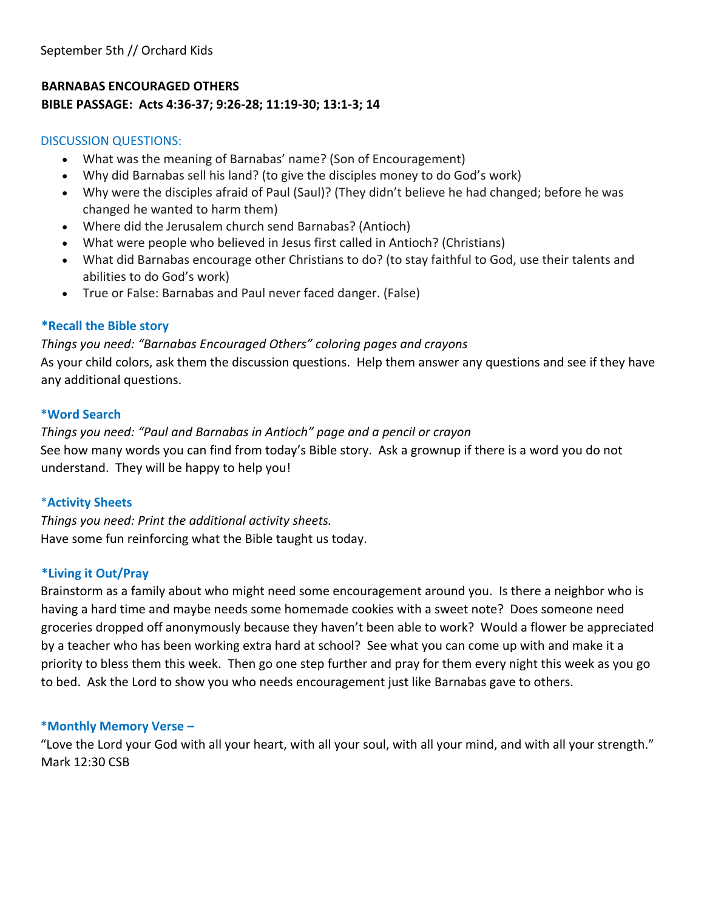#### **BARNABAS ENCOURAGED OTHERS BIBLE PASSAGE: Acts 4:36-37; 9:26-28; 11:19-30; 13:1-3; 14**

#### DISCUSSION QUESTIONS:

- What was the meaning of Barnabas' name? (Son of Encouragement)
- Why did Barnabas sell his land? (to give the disciples money to do God's work)
- Why were the disciples afraid of Paul (Saul)? (They didn't believe he had changed; before he was changed he wanted to harm them)
- Where did the Jerusalem church send Barnabas? (Antioch)
- What were people who believed in Jesus first called in Antioch? (Christians)
- What did Barnabas encourage other Christians to do? (to stay faithful to God, use their talents and abilities to do God's work)
- True or False: Barnabas and Paul never faced danger. (False)

#### **\*Recall the Bible story**

#### *Things you need: "Barnabas Encouraged Others" coloring pages and crayons*

As your child colors, ask them the discussion questions. Help them answer any questions and see if they have any additional questions.

#### **\*Word Search**

*Things you need: "Paul and Barnabas in Antioch" page and a pencil or crayon*  See how many words you can find from today's Bible story. Ask a grownup if there is a word you do not understand. They will be happy to help you!

#### \***Activity Sheets**

*Things you need: Print the additional activity sheets.*  Have some fun reinforcing what the Bible taught us today.

#### **\*Living it Out/Pray**

Brainstorm as a family about who might need some encouragement around you. Is there a neighbor who is having a hard time and maybe needs some homemade cookies with a sweet note? Does someone need groceries dropped off anonymously because they haven't been able to work? Would a flower be appreciated by a teacher who has been working extra hard at school? See what you can come up with and make it a priority to bless them this week. Then go one step further and pray for them every night this week as you go to bed. Ask the Lord to show you who needs encouragement just like Barnabas gave to others.

#### **\*Monthly Memory Verse –**

"Love the Lord your God with all your heart, with all your soul, with all your mind, and with all your strength." Mark 12:30 CSB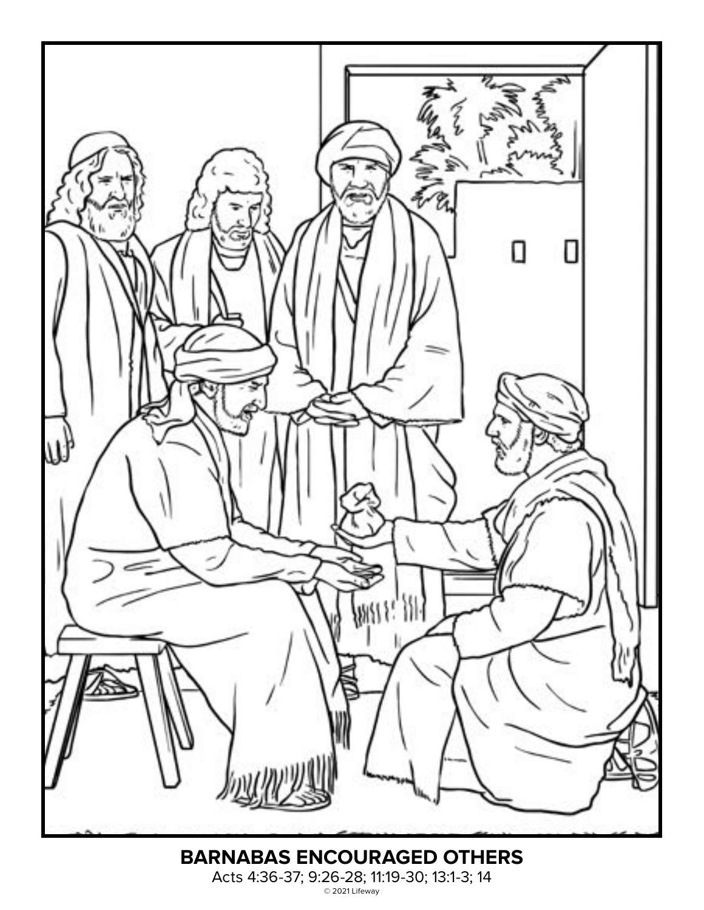

Acts 4:36-37; 9:26-28; 11:19-30; 13:1-3; 14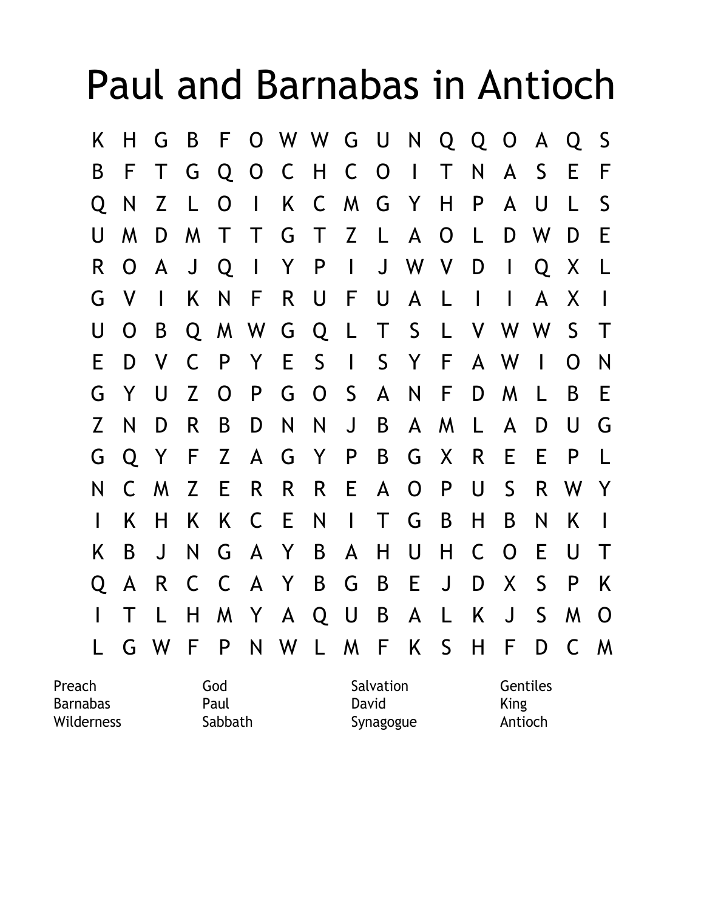# Paul and Barnabas in Antioch

| K            | H              | G            | $\mathsf{B}$ |                |               |              |              |                |              | F O W W G U N Q Q O A |              |                             |                |               | Q  | $\mathsf{S}$                |
|--------------|----------------|--------------|--------------|----------------|---------------|--------------|--------------|----------------|--------------|-----------------------|--------------|-----------------------------|----------------|---------------|----|-----------------------------|
| B            | F.             | T.           | G            |                | Q O C H C O I |              |              |                |              |                       | $\top$       | N                           | $\mathsf{A}$   | $\mathsf{S}$  | E. | $\mathsf F$                 |
| Q            | N              | Z            | L            | $\overline{O}$ | $\mathbf{I}$  | K            |              |                |              | C M G Y H             |              | P                           | $\mathsf{A}$   | U             | L  | S                           |
| U            | M              | D            | M            |                | T T G T       |              |              |                |              | Z L A O               |              | L                           | D              | W             | D  | E                           |
| R.           | O              | $\mathsf{A}$ | $\mathsf J$  | Q              | $\mathbf{I}$  |              | Y P          | $\mathbf{I}$   |              | J W V D               |              |                             | $\mathbf{I}$   | Q             | X  | $\mathsf{L}$                |
| G            | V              | $\mathbf{I}$ | K            | N              | $\mathsf{F}$  | $\mathsf{R}$ | U            | - F            | U            | $\overline{A}$        | $\lfloor$    | $\mathcal{L}_{\mathcal{A}}$ | $\mathbf{I}$   | A             | X  | $\mathbf{I}$                |
| U            | $\overline{O}$ | B            |              |                | Q M W G       |              | Q L          |                |              | T S L                 |              |                             | V W W          |               | S  | $\top$                      |
| E.           | D              | V            | $\mathsf{C}$ | $\mathsf{P}$   | Y             | E            | $\mathsf{S}$ | $\mathbf{I}$   |              | S Y                   | $\mathsf F$  |                             | A W            | $\mathcal{A}$ | O  | N                           |
| G            | Y              | U            | Z            | $\mathsf{O}$   | P             | G            |              | 0 <sup>5</sup> | $\mathsf{A}$ | N                     | $\mathsf F$  | D                           | M              | L             | B  | E                           |
| Z            | N              | D            | R            | B              | D             | N            | N            | $\bigcup$      | B            | $\mathsf{A}$          | M            | L.                          | $\mathsf{A}$   | D             | U  | G                           |
| G            | Q              | Y            | F            | Z              | $\mathsf{A}$  | G            | $\mathsf{Y}$ | $\mathsf{P}$   | B            | G                     | X            | R.                          | E.             | E             | P  | L                           |
| N            | C              | M            | Z            | E              | R             | R.           | R            | E              | $\mathsf{A}$ | $\overline{O}$        | P            | U                           | $\mathsf S$    | R.            | W  | $\mathsf{Y}$                |
|              | K              | H            | K            | K              | C E           |              | N            | $\mathbf{L}$   |              | T G                   | B            | $\mathsf H$                 | B              | N             | K  | $\mathcal{L}_{\mathcal{A}}$ |
| K            | B              | $\bigcup$    | N            | G              | $\mathsf{A}$  | Y            | B            | $\mathsf{A}$   | H            | U                     | H            | C                           | $\overline{O}$ | E             | U  | $\top$                      |
| Q            | A              | R.           | C            | $\mathsf{C}$   | <b>A</b>      | Y            | B            | G              | B            | E                     | J            | D                           | X              | $\mathsf S$   | P  | K                           |
| $\mathsf{I}$ | $\top$         | $\mathsf{L}$ | H            | M              | Y A Q U       |              |              |                | B A          |                       | $\mathsf{L}$ | K                           | $\bigcup$      | $\mathsf{S}$  | M  | $\mathbf 0$                 |
|              | G              | W            | F            | P              | N             | W            | $\mathsf{L}$ |                |              | M F K S H             |              |                             | F              | D             | C  | M                           |
|              |                |              |              |                |               |              |              |                |              |                       |              |                             |                |               |    |                             |

| Preach            | God     | Salvation | <b>Gentiles</b> |
|-------------------|---------|-----------|-----------------|
| <b>Barnabas</b>   | Paul    | David     | <b>King</b>     |
| <b>Wilderness</b> | Sabbath | Synagogue | Antioch         |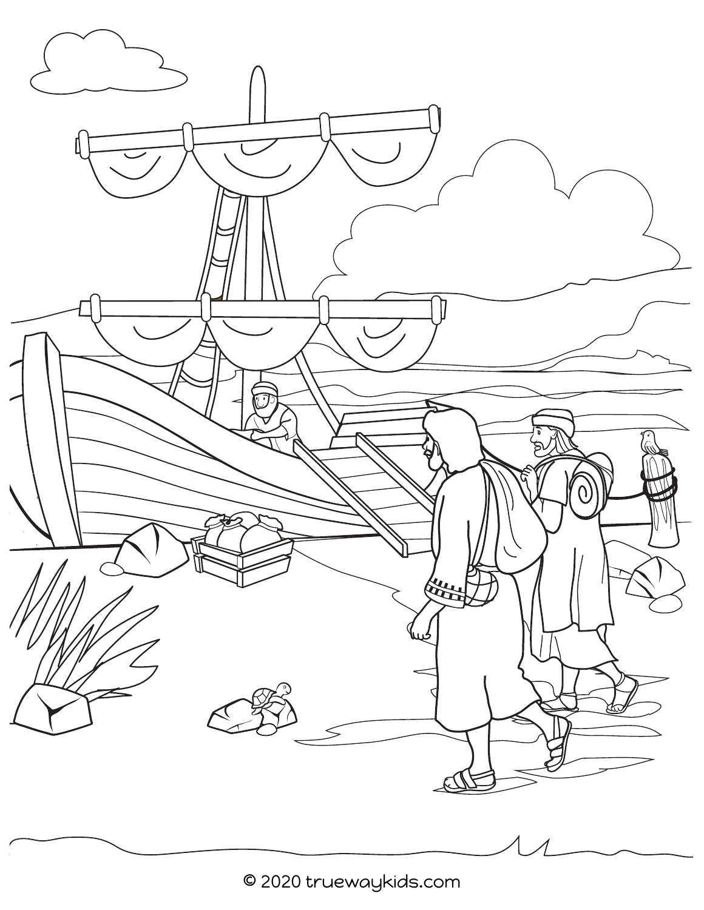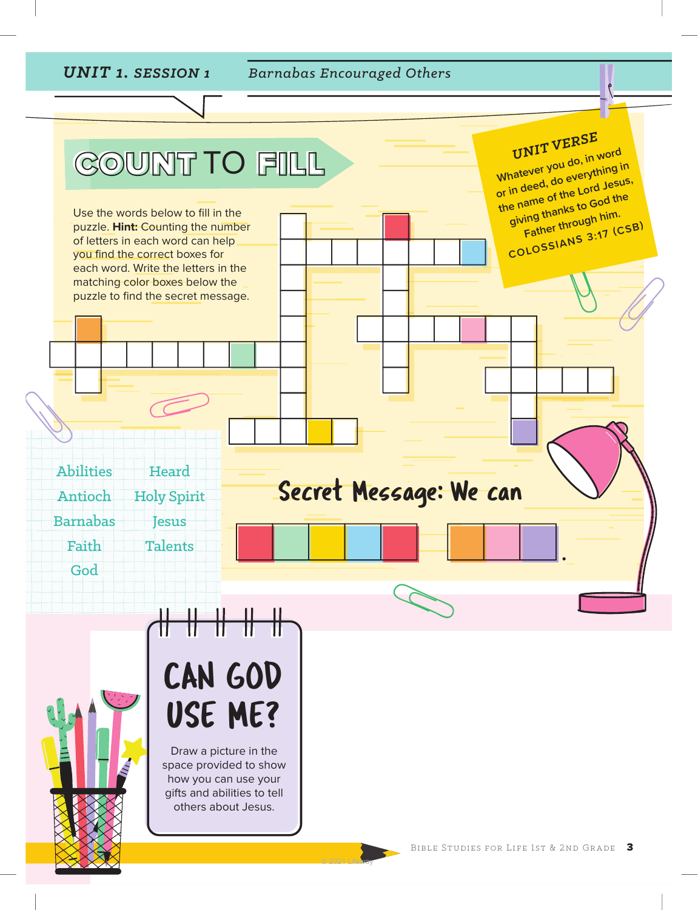### *UNIT 1. SESSION 1 Barnabas Encouraged Others*

## **COUNT TO FILL** Abilities Antioch Barnabas Faith God Heard Holy Spirit **Jesus** Talents Use the words below to fill in the puzzle. **Hint:** Counting the number of letters in each word can help you find the correct boxes for each word. Write the letters in the matching color boxes below the puzzle to find the secret message. Secret Message: We can *UNIT VERSE* **Whatever you do, in word or in deed, do everything in the name of the Lord Jesus, giving thanks to God the Father through him. COLOSSIANS 3:17 (CSB)**

© 2021 Lifeway



# CAN GOD USE ME?

<del>╢╶║╶║╶║╶╢</del>

Draw a picture in the space provided to show how you can use your gifts and abilities to tell others about Jesus.